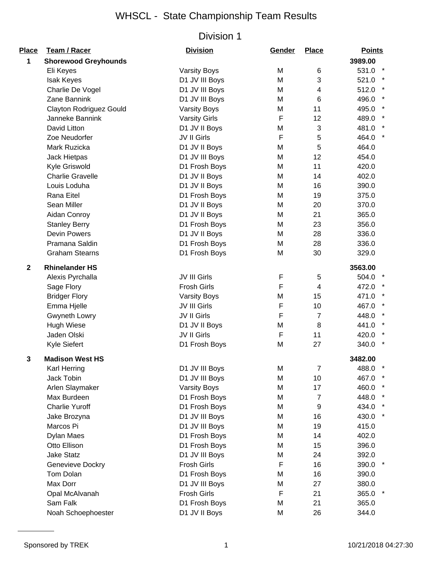| Place        | Team / Racer                   | <b>Division</b>      | Gender | <b>Place</b>   | <b>Points</b>   |
|--------------|--------------------------------|----------------------|--------|----------------|-----------------|
| 1            | <b>Shorewood Greyhounds</b>    |                      |        |                | 3989.00         |
|              | Eli Keyes                      | <b>Varsity Boys</b>  | M      | 6              | 531.0 *         |
|              | <b>Isak Keyes</b>              | D1 JV III Boys       | M      | 3              | 521.0 *         |
|              | Charlie De Vogel               | D1 JV III Boys       | M      | 4              | 512.0           |
|              | Zane Bannink                   | D1 JV III Boys       | М      | 6              | 496.0           |
|              | <b>Clayton Rodriguez Gould</b> | <b>Varsity Boys</b>  | M      | 11             | 495.0           |
|              | Janneke Bannink                | <b>Varsity Girls</b> | F      | 12             | 489.0           |
|              | David Litton                   | D1 JV II Boys        | M      | 3              | 481.0           |
|              | Zoe Neudorfer                  | JV II Girls          | F      | 5              | 464.0 *         |
|              | Mark Ruzicka                   | D1 JV II Boys        | M      | 5              | 464.0           |
|              | Jack Hietpas                   | D1 JV III Boys       | M      | 12             | 454.0           |
|              | Kyle Griswold                  | D1 Frosh Boys        | M      | 11             | 420.0           |
|              | <b>Charlie Gravelle</b>        | D1 JV II Boys        | M      | 14             | 402.0           |
|              | Louis Loduha                   | D1 JV II Boys        | M      | 16             | 390.0           |
|              | Rana Eitel                     | D1 Frosh Boys        | M      | 19             | 375.0           |
|              | Sean Miller                    | D1 JV II Boys        | M      | 20             | 370.0           |
|              | Aidan Conroy                   | D1 JV II Boys        | M      | 21             | 365.0           |
|              | <b>Stanley Berry</b>           | D1 Frosh Boys        | M      | 23             | 356.0           |
|              | <b>Devin Powers</b>            | D1 JV II Boys        | M      | 28             | 336.0           |
|              | Pramana Saldin                 | D1 Frosh Boys        | M      | 28             | 336.0           |
|              | <b>Graham Stearns</b>          | D1 Frosh Boys        | M      | 30             | 329.0           |
| $\mathbf{2}$ | <b>Rhinelander HS</b>          |                      |        |                | 3563.00         |
|              | Alexis Pyrchalla               | JV III Girls         | F      | 5              | 504.0           |
|              | Sage Flory                     | <b>Frosh Girls</b>   | F      | $\overline{4}$ | 472.0           |
|              | <b>Bridger Flory</b>           | <b>Varsity Boys</b>  | M      | 15             | 471.0           |
|              | Emma Hjelle                    | JV III Girls         | F      | 10             | 467.0           |
|              | Gwyneth Lowry                  | JV II Girls          | F      | $\overline{7}$ | 448.0           |
|              | <b>Hugh Wiese</b>              | D1 JV II Boys        | M      | 8              | 441.0           |
|              | Jaden Olski                    | JV II Girls          | F      | 11             | 420.0           |
|              | Kyle Siefert                   | D1 Frosh Boys        | M      | 27             | $\ast$<br>340.0 |
| 3            | <b>Madison West HS</b>         |                      |        |                | 3482.00         |
|              | Karl Herring                   | D1 JV III Boys       | M      | 7              | 488.0           |
|              | Jack Tobin                     | D1 JV III Boys       | M      | 10             | 467.0           |
|              | Arlen Slaymaker                | <b>Varsity Boys</b>  | M      | 17             | 460.0           |
|              | Max Burdeen                    | D1 Frosh Boys        | M      | 7              | 448.0           |
|              | <b>Charlie Yuroff</b>          | D1 Frosh Boys        | M      | 9              | 434.0 *         |
|              | Jake Brozyna                   | D1 JV III Boys       | M      | 16             | 430.0 *         |
|              | Marcos Pi                      | D1 JV III Boys       | M      | 19             | 415.0           |
|              | Dylan Maes                     | D1 Frosh Boys        | M      | 14             | 402.0           |
|              | Otto Ellison                   | D1 Frosh Boys        | M      | 15             | 396.0           |
|              | <b>Jake Statz</b>              | D1 JV III Boys       | M      | 24             | 392.0           |
|              | Genevieve Dockry               | <b>Frosh Girls</b>   | F      | 16             | 390.0           |
|              | Tom Dolan                      | D1 Frosh Boys        | M      | 16             | 390.0           |
|              | Max Dorr                       | D1 JV III Boys       | M      | 27             | 380.0           |
|              | Opal McAlvanah                 | <b>Frosh Girls</b>   | F      | 21             | 365.0           |
|              | Sam Falk                       | D1 Frosh Boys        | M      | 21             | 365.0           |
|              | Noah Schoephoester             | D1 JV II Boys        | M      | 26             | 344.0           |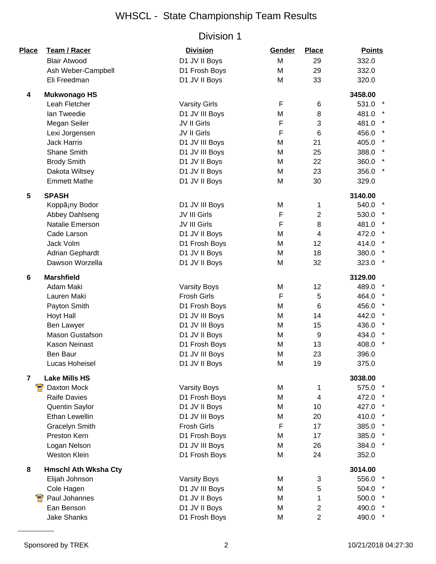| <b>Place</b>            | <b>Team / Racer</b>         | <b>Division</b>      | Gender    | <b>Place</b>    | <b>Points</b>    |
|-------------------------|-----------------------------|----------------------|-----------|-----------------|------------------|
|                         | <b>Blair Atwood</b>         | D1 JV II Boys        | M         | 29              | 332.0            |
|                         | Ash Weber-Campbell          | D1 Frosh Boys        | M         | 29              | 332.0            |
|                         | Eli Freedman                | D1 JV II Boys        | M         | 33              | 320.0            |
| 4                       | <b>Mukwonago HS</b>         |                      |           |                 | 3458.00          |
|                         | Leah Fletcher               | <b>Varsity Girls</b> | F         | 6               | 531.0 *          |
|                         | Ian Tweedie                 | D1 JV III Boys       | M         | 8               | 481.0 *          |
|                         | Megan Seiler                | JV II Girls          | F         | 3               | 481.0            |
|                         | Lexi Jorgensen              | JV II Girls          | F         | $6\phantom{1}6$ | 456.0            |
|                         | <b>Jack Harris</b>          | D1 JV III Boys       | M         | 21              | 405.0            |
|                         | Shane Smith                 | D1 JV III Boys       | M         | 25              | 388.0            |
|                         | <b>Brody Smith</b>          | D1 JV II Boys        | M         | 22              | 360.0 *          |
|                         | Dakota Wiltsey              | D1 JV II Boys        | M         | 23              | 356.0 *          |
|                         | <b>Emmett Mathe</b>         | D1 JV II Boys        | M         | 30              | 329.0            |
| 5                       | <b>SPASH</b>                |                      |           |                 | 3140.00          |
|                         | Koppã¡ny Bodor              | D1 JV III Boys       | M         | 1               | 540.0 *          |
|                         | Abbey Dahlseng              | JV III Girls         | F         | $\overline{2}$  | 530.0 *          |
|                         | Natalie Emerson             | JV III Girls         | F         | 8               | 481.0 *          |
|                         | Cade Larson                 | D1 JV II Boys        | M         | $\overline{4}$  | 472.0            |
|                         | Jack Volm                   | D1 Frosh Boys        | M         | 12              | 414.0            |
|                         | Adrian Gephardt             | D1 JV II Boys        | M         | 18              | 380.0            |
|                         | Dawson Worzella             | D1 JV II Boys        | M         | 32              | 323.0 *          |
| 6                       | <b>Marshfield</b>           |                      |           |                 | 3129.00          |
|                         | Adam Maki                   | <b>Varsity Boys</b>  | M         | 12              | 489.0            |
|                         | Lauren Maki                 | <b>Frosh Girls</b>   | F         | 5               | 464.0            |
|                         | Payton Smith                | D1 Frosh Boys        | M         | $6\phantom{1}6$ | 456.0            |
|                         | Hoyt Hall                   | D1 JV III Boys       | M         | 14              | 442.0 *          |
|                         | Ben Lawyer                  | D1 JV III Boys       | M         | 15              | 436.0 *          |
|                         | <b>Mason Gustafson</b>      | D1 JV II Boys        | M         | 9               | 434.0            |
|                         | <b>Kason Neinast</b>        | D1 Frosh Boys        | M         | 13              | $\star$<br>408.0 |
|                         | Ben Baur                    | D1 JV III Boys       | M         | 23              | 396.0            |
|                         | Lucas Hoheisel              | D1 JV II Boys        | ${\sf M}$ | 19              | 375.0            |
| $\overline{\mathbf{r}}$ | <b>Lake Mills HS</b>        |                      |           |                 | 3038.00          |
| Я                       | Daxton Mock                 | <b>Varsity Boys</b>  | M         | 1               | 575.0            |
|                         | <b>Raife Davies</b>         | D1 Frosh Boys        | M         | $\overline{4}$  | 472.0 *          |
|                         | Quentin Saylor              | D1 JV II Boys        | M         | 10              | 427.0 *          |
|                         | Ethan Lewellin              | D1 JV III Boys       | M         | 20              | 410.0            |
|                         | <b>Gracelyn Smith</b>       | <b>Frosh Girls</b>   | F         | 17              | 385.0            |
|                         | Preston Kern                | D1 Frosh Boys        | M         | 17              | 385.0 *          |
|                         | Logan Nelson                | D1 JV III Boys       | M         | 26              | 384.0 *          |
|                         | <b>Weston Klein</b>         | D1 Frosh Boys        | M         | 24              | 352.0            |
| 8                       | <b>Hmschl Ath Wksha Cty</b> |                      |           |                 | 3014.00          |
|                         | Elijah Johnson              | <b>Varsity Boys</b>  | M         | 3               | 556.0 *          |
|                         | Cole Hagen                  | D1 JV III Boys       | M         | 5               | 504.0            |
|                         | Paul Johannes               | D1 JV II Boys        | M         | 1               | 500.0            |
|                         | Ean Benson                  | D1 JV II Boys        | M         | $\overline{2}$  | 490.0 *          |
|                         | <b>Jake Shanks</b>          | D1 Frosh Boys        | M         | $\overline{2}$  | 490.0 *          |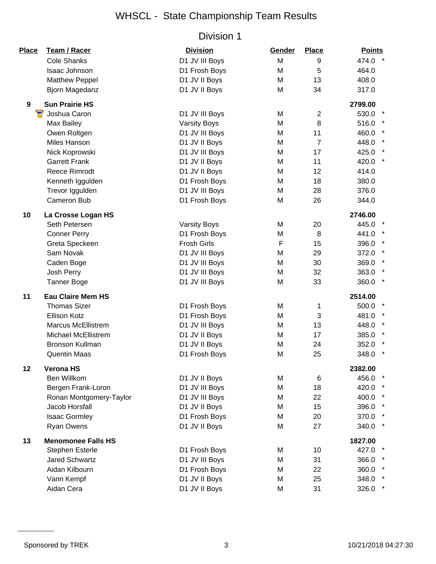| Place | <b>Team / Racer</b>        | <b>Division</b>     | Gender | <b>Place</b>   | <b>Points</b>    |
|-------|----------------------------|---------------------|--------|----------------|------------------|
|       | <b>Cole Shanks</b>         | D1 JV III Boys      | M      | 9              | 474.0            |
|       | Isaac Johnson              | D1 Frosh Boys       | M      | 5              | 464.0            |
|       | <b>Matthew Peppel</b>      | D1 JV II Boys       | M      | 13             | 408.0            |
|       | Bjorn Magedanz             | D1 JV II Boys       | M      | 34             | 317.0            |
| 9     | <b>Sun Prairie HS</b>      |                     |        |                | 2799.00          |
|       | Joshua Caron               | D1 JV III Boys      | M      | $\overline{2}$ | 530.0            |
|       | Max Bailey                 | <b>Varsity Boys</b> | M      | 8              | 516.0            |
|       | Owen Roltgen               | D1 JV III Boys      | M      | 11             | 460.0            |
|       | Miles Hanson               | D1 JV II Boys       | M      | $\overline{7}$ | 448.0            |
|       | Nick Koprowski             | D1 JV III Boys      | M      | 17             | $\star$<br>425.0 |
|       | <b>Garrett Frank</b>       | D1 JV II Boys       | M      | 11             | 420.0            |
|       | <b>Reece Rimrodt</b>       | D1 JV II Boys       | M      | 12             | 414.0            |
|       | Kenneth Iggulden           | D1 Frosh Boys       | M      | 18             | 380.0            |
|       | Trevor Iggulden            | D1 JV III Boys      | M      | 28             | 376.0            |
|       | Cameron Bub                | D1 Frosh Boys       | M      | 26             | 344.0            |
| 10    | La Crosse Logan HS         |                     |        |                | 2746.00          |
|       | Seth Petersen              | <b>Varsity Boys</b> | M      | 20             | 445.0            |
|       | <b>Conner Perry</b>        | D1 Frosh Boys       | M      | 8              | 441.0            |
|       | Greta Speckeen             | <b>Frosh Girls</b>  | F      | 15             | 396.0            |
|       | Sam Novak                  | D1 JV III Boys      | M      | 29             | 372.0            |
|       | Caden Boge                 | D1 JV III Boys      | M      | 30             | 369.0            |
|       | Josh Perry                 | D1 JV III Boys      | M      | 32             | 363.0            |
|       | <b>Tanner Boge</b>         | D1 JV III Boys      | M      | 33             | 360.0            |
| 11    | <b>Eau Claire Mem HS</b>   |                     |        |                | 2514.00          |
|       | <b>Thomas Sizer</b>        | D1 Frosh Boys       | м      | 1              | 500.0            |
|       | Ellison Kotz               | D1 Frosh Boys       | M      | 3              | 481.0            |
|       | <b>Marcus McEllistrem</b>  | D1 JV III Boys      | M      | 13             | $\star$<br>448.0 |
|       | <b>Michael McEllistrem</b> | D1 JV II Boys       | M      | 17             | 385.0            |
|       | <b>Bronson Kullman</b>     | D1 JV II Boys       | M      | 24             | $\star$<br>352.0 |
|       | <b>Quentin Maas</b>        | D1 Frosh Boys       | M      | 25             | $\star$<br>348.0 |
| 12    | <b>Verona HS</b>           |                     |        |                | 2382.00          |
|       | Ben Willkom                | D1 JV II Boys       | M      | 6              | 456.0            |
|       | Bergen Frank-Loron         | D1 JV III Boys      | M      | 18             | 420.0            |
|       | Ronan Montgomery-Taylor    | D1 JV III Boys      | M      | 22             | 400.0 *          |
|       | Jacob Horsfall             | D1 JV II Boys       | M      | 15             | 396.0            |
|       | <b>Isaac Gormley</b>       | D1 Frosh Boys       | M      | 20             | 370.0            |
|       | Ryan Owens                 | D1 JV II Boys       | M      | 27             | 340.0            |
| 13    | <b>Menomonee Falls HS</b>  |                     |        |                | 1827.00          |
|       | <b>Stephen Esterle</b>     | D1 Frosh Boys       | M      | 10             | 427.0            |
|       | <b>Jared Schwartz</b>      | D1 JV III Boys      | M      | 31             | 366.0            |
|       | Aidan Kilbourn             | D1 Frosh Boys       | M      | 22             | 360.0            |
|       | Vann Kempf                 | D1 JV II Boys       | M      | 25             | 348.0            |
|       | Aidan Cera                 | D1 JV II Boys       | M      | 31             | 326.0            |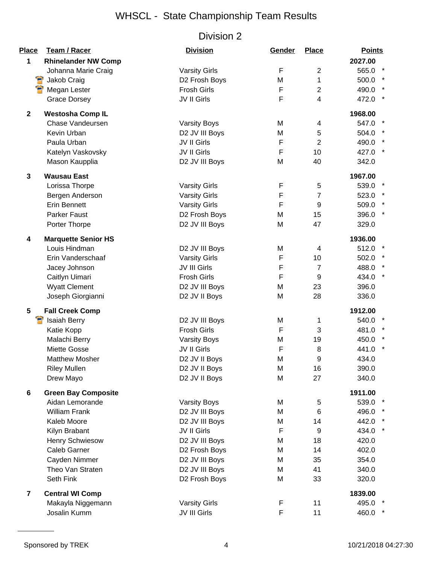| <b>Place</b> | Team / Racer               | <b>Division</b>      | Gender      | <b>Place</b>            | <b>Points</b>   |
|--------------|----------------------------|----------------------|-------------|-------------------------|-----------------|
| 1            | <b>Rhinelander NW Comp</b> |                      |             |                         | 2027.00         |
|              | Johanna Marie Craig        | <b>Varsity Girls</b> | F           | $\overline{2}$          | 565.0 *         |
|              | Jakob Craig                | D2 Frosh Boys        | M           | 1                       | 500.0           |
|              | Megan Lester               | <b>Frosh Girls</b>   | F           | $\overline{c}$          | 490.0           |
|              | <b>Grace Dorsey</b>        | JV II Girls          | F           | $\overline{\mathbf{4}}$ | 472.0           |
| $\mathbf 2$  | <b>Westosha Comp IL</b>    |                      |             |                         | 1968.00         |
|              | Chase Vandeursen           | <b>Varsity Boys</b>  | M           | 4                       | 547.0           |
|              | Kevin Urban                | D2 JV III Boys       | M           | 5                       | 504.0           |
|              | Paula Urban                | JV II Girls          | F           | $\overline{2}$          | 490.0           |
|              | Katelyn Vaskovsky          | JV II Girls          | $\mathsf F$ | 10                      | 427.0 *         |
|              | Mason Kaupplia             | D2 JV III Boys       | M           | 40                      | 342.0           |
| 3            | <b>Wausau East</b>         |                      |             |                         | 1967.00         |
|              | Lorissa Thorpe             | <b>Varsity Girls</b> | F           | 5                       | 539.0           |
|              | Bergen Anderson            | <b>Varsity Girls</b> | F           | 7                       | 523.0 *         |
|              | <b>Erin Bennett</b>        | <b>Varsity Girls</b> | F           | 9                       | 509.0 *         |
|              | <b>Parker Faust</b>        | D2 Frosh Boys        | M           | 15                      | 396.0 *         |
|              | Porter Thorpe              | D2 JV III Boys       | M           | 47                      | 329.0           |
| 4            | <b>Marquette Senior HS</b> |                      |             |                         | 1936.00         |
|              | Louis Hindman              | D2 JV III Boys       | M           | 4                       | 512.0           |
|              | Erin Vanderschaaf          | <b>Varsity Girls</b> | F           | 10                      | 502.0 *         |
|              | Jacey Johnson              | JV III Girls         | F           | $\overline{7}$          | 488.0           |
|              | Caitlyn Uimari             | <b>Frosh Girls</b>   | F           | 9                       | $\ast$<br>434.0 |
|              | <b>Wyatt Clement</b>       | D2 JV III Boys       | M           | 23                      | 396.0           |
|              | Joseph Giorgianni          | D2 JV II Boys        | M           | 28                      | 336.0           |
| 5            | <b>Fall Creek Comp</b>     |                      |             |                         | 1912.00         |
|              | <b>Isaiah Berry</b>        | D2 JV III Boys       | M           | 1                       | 540.0           |
|              | Katie Kopp                 | Frosh Girls          | F           | 3                       | 481.0           |
|              | Malachi Berry              | <b>Varsity Boys</b>  | M           | 19                      | 450.0           |
|              | Miette Gosse               | JV II Girls          | F           | 8                       | 441.0           |
|              | <b>Matthew Mosher</b>      | D2 JV II Boys        | M           | 9                       | 434.0           |
|              | <b>Riley Mullen</b>        | D2 JV II Boys        | M           | 16                      | 390.0           |
|              | Drew Mayo                  | D2 JV II Boys        | M           | 27                      | 340.0           |
| 6            | <b>Green Bay Composite</b> |                      |             |                         | 1911.00         |
|              | Aidan Lemorande            | <b>Varsity Boys</b>  | M           | 5                       | 539.0           |
|              | <b>William Frank</b>       | D2 JV III Boys       | M           | 6                       | 496.0           |
|              | Kaleb Moore                | D2 JV III Boys       | M           | 14                      | 442.0 *         |
|              | Kilyn Brabant              | JV II Girls          | F           | 9                       | 434.0 *         |
|              | <b>Henry Schwiesow</b>     | D2 JV III Boys       | M           | 18                      | 420.0           |
|              | Caleb Garner               | D2 Frosh Boys        | M           | 14                      | 402.0           |
|              | Cayden Nimmer              | D2 JV III Boys       | M           | 35                      | 354.0           |
|              | Theo Van Straten           | D2 JV III Boys       | M           | 41                      | 340.0           |
|              | Seth Fink                  | D2 Frosh Boys        | M           | 33                      | 320.0           |
| 7            | <b>Central WI Comp</b>     |                      |             |                         | 1839.00         |
|              | Makayla Niggemann          | <b>Varsity Girls</b> | F           | 11                      | 495.0 *         |
|              | Josalin Kumm               | JV III Girls         | F           | 11                      | 460.0 *         |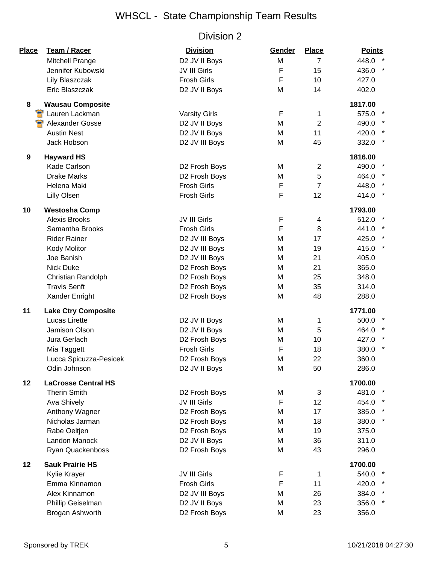| Place            | Team / Racer               | <b>Division</b>      | Gender | <b>Place</b>   | <b>Points</b> |
|------------------|----------------------------|----------------------|--------|----------------|---------------|
|                  | Mitchell Prange            | D2 JV II Boys        | M      | $\overline{7}$ | 448.0         |
|                  | Jennifer Kubowski          | JV III Girls         | F      | 15             | 436.0         |
|                  | Lily Blaszczak             | <b>Frosh Girls</b>   | F      | 10             | 427.0         |
|                  | Eric Blaszczak             | D2 JV II Boys        | M      | 14             | 402.0         |
| 8                | <b>Wausau Composite</b>    |                      |        |                | 1817.00       |
| Я                | Lauren Lackman             | <b>Varsity Girls</b> | F      | 1              | 575.0         |
|                  | Alexander Gosse            | D2 JV II Boys        | M      | $\overline{2}$ | 490.0         |
|                  | <b>Austin Nest</b>         | D2 JV II Boys        | M      | 11             | 420.0 *       |
|                  | Jack Hobson                | D2 JV III Boys       | M      | 45             | 332.0         |
| $\boldsymbol{9}$ | <b>Hayward HS</b>          |                      |        |                | 1816.00       |
|                  | Kade Carlson               | D2 Frosh Boys        | M      | $\overline{2}$ | 490.0         |
|                  | <b>Drake Marks</b>         | D2 Frosh Boys        | M      | 5              | 464.0         |
|                  | Helena Maki                | <b>Frosh Girls</b>   | F      | $\overline{7}$ | 448.0         |
|                  | <b>Lilly Olsen</b>         | <b>Frosh Girls</b>   | F      | 12             | 414.0         |
| 10               | <b>Westosha Comp</b>       |                      |        |                | 1793.00       |
|                  | <b>Alexis Brooks</b>       | JV III Girls         | F      | 4              | 512.0         |
|                  | Samantha Brooks            | <b>Frosh Girls</b>   | F      | 8              | 441.0 *       |
|                  | <b>Rider Rainer</b>        | D2 JV III Boys       | M      | 17             | 425.0 *       |
|                  | Kody Molitor               | D2 JV III Boys       | M      | 19             | 415.0 *       |
|                  | Joe Banish                 | D2 JV III Boys       | M      | 21             | 405.0         |
|                  | <b>Nick Duke</b>           | D2 Frosh Boys        | M      | 21             | 365.0         |
|                  | Christian Randolph         | D2 Frosh Boys        | M      | 25             | 348.0         |
|                  | <b>Travis Senft</b>        | D2 Frosh Boys        | M      | 35             | 314.0         |
|                  | Xander Enright             | D2 Frosh Boys        | M      | 48             | 288.0         |
| 11               | <b>Lake Ctry Composite</b> |                      |        |                | 1771.00       |
|                  | Lucas Lirette              | D2 JV II Boys        | M      | 1              | 500.0         |
|                  | Jamison Olson              | D2 JV II Boys        | M      | 5              | 464.0         |
|                  | Jura Gerlach               | D2 Frosh Boys        | Μ      | 10             | 427.0         |
|                  | Mia Taggett                | <b>Frosh Girls</b>   | F      | 18             | 380.0         |
|                  | Lucca Spicuzza-Pesicek     | D2 Frosh Boys        | M      | 22             | 360.0         |
|                  | Odin Johnson               | D2 JV II Boys        | M      | 50             | 286.0         |
| 12               | <b>LaCrosse Central HS</b> |                      |        |                | 1700.00       |
|                  | <b>Therin Smith</b>        | D2 Frosh Boys        | M      | 3              | 481.0         |
|                  | Ava Shively                | JV III Girls         | F      | 12             | 454.0         |
|                  | Anthony Wagner             | D2 Frosh Boys        | M      | 17             | 385.0         |
|                  | Nicholas Jarman            | D2 Frosh Boys        | M      | 18             | 380.0 *       |
|                  | Rabe Oeltjen               | D2 Frosh Boys        | M      | 19             | 375.0         |
|                  | Landon Manock              | D2 JV II Boys        | M      | 36             | 311.0         |
|                  | Ryan Quackenboss           | D2 Frosh Boys        | M      | 43             | 296.0         |
| 12               | <b>Sauk Prairie HS</b>     |                      |        |                | 1700.00       |
|                  | Kylie Krayer               | JV III Girls         | F      | 1              | 540.0         |
|                  | Emma Kinnamon              | <b>Frosh Girls</b>   | F      | 11             | 420.0         |
|                  | Alex Kinnamon              | D2 JV III Boys       | M      | 26             | 384.0         |
|                  | Phillip Geiselman          | D2 JV II Boys        | M      | 23             | 356.0         |
|                  | Brogan Ashworth            | D2 Frosh Boys        | M      | 23             | 356.0         |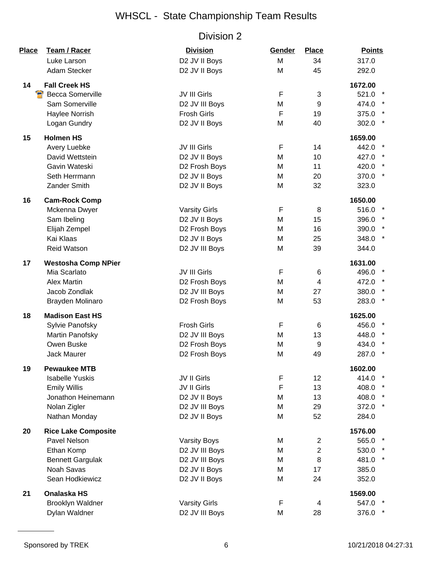| Place | <b>Team / Racer</b>        | <b>Division</b>      | Gender | <b>Place</b>   | <b>Points</b>    |
|-------|----------------------------|----------------------|--------|----------------|------------------|
|       | Luke Larson                | D2 JV II Boys        | M      | 34             | 317.0            |
|       | Adam Stecker               | D2 JV II Boys        | M      | 45             | 292.0            |
| 14    | <b>Fall Creek HS</b>       |                      |        |                | 1672.00          |
| Э     | <b>Becca Somerville</b>    | JV III Girls         | F      | 3              | 521.0 *          |
|       | Sam Somerville             | D2 JV III Boys       | M      | 9              | 474.0 *          |
|       | Haylee Norrish             | <b>Frosh Girls</b>   | F      | 19             | 375.0 *          |
|       | Logan Gundry               | D2 JV II Boys        | M      | 40             | 302.0 *          |
| 15    | <b>Holmen HS</b>           |                      |        |                | 1659.00          |
|       | Avery Luebke               | JV III Girls         | F      | 14             | 442.0            |
|       | David Wettstein            | D2 JV II Boys        | M      | 10             | 427.0            |
|       | Gavin Wateski              | D2 Frosh Boys        | M      | 11             | 420.0 *          |
|       | Seth Herrmann              | D2 JV II Boys        | M      | 20             | 370.0 *          |
|       | <b>Zander Smith</b>        | D2 JV II Boys        | M      | 32             | 323.0            |
| 16    | <b>Cam-Rock Comp</b>       |                      |        |                | 1650.00          |
|       | Mckenna Dwyer              | <b>Varsity Girls</b> | F      | 8              | 516.0 *          |
|       | Sam Ibeling                | D2 JV II Boys        | M      | 15             | 396.0 *          |
|       | Elijah Zempel              | D2 Frosh Boys        | M      | 16             | 390.0 *          |
|       | Kai Klaas                  | D2 JV II Boys        | M      | 25             | 348.0 *          |
|       | <b>Reid Watson</b>         | D2 JV III Boys       | M      | 39             | 344.0            |
| 17    | <b>Westosha Comp NPier</b> |                      |        |                | 1631.00          |
|       | Mia Scarlato               | JV III Girls         | F      | 6              | 496.0            |
|       | <b>Alex Martin</b>         | D2 Frosh Boys        | M      | 4              | 472.0 *          |
|       | Jacob Zondlak              | D2 JV III Boys       | M      | 27             | 380.0            |
|       | Brayden Molinaro           | D2 Frosh Boys        | M      | 53             | $\star$<br>283.0 |
| 18    | <b>Madison East HS</b>     |                      |        |                | 1625.00          |
|       | Sylvie Panofsky            | <b>Frosh Girls</b>   | F      | 6              | 456.0 *          |
|       | Martin Panofsky            | D2 JV III Boys       | M      | 13             | 448.0            |
|       | Owen Buske                 | D2 Frosh Boys        | M      | 9              | 434.0            |
|       | <b>Jack Maurer</b>         | D2 Frosh Boys        | M      | 49             | 287.0            |
| 19    | <b>Pewaukee MTB</b>        |                      |        |                | 1602.00          |
|       | <b>Isabelle Yuskis</b>     | JV II Girls          | F      | 12             | 414.0            |
|       | <b>Emily Willis</b>        | JV II Girls          | F      | 13             | 408.0            |
|       | Jonathon Heinemann         | D2 JV II Boys        | M      | 13             | 408.0 *          |
|       | Nolan Zigler               | D2 JV III Boys       | M      | 29             | 372.0 *          |
|       | Nathan Monday              | D2 JV II Boys        | M      | 52             | 284.0            |
| 20    | <b>Rice Lake Composite</b> |                      |        |                | 1576.00          |
|       | Pavel Nelson               | <b>Varsity Boys</b>  | M      | $\mathbf{2}$   | 565.0 *          |
|       | Ethan Komp                 | D2 JV III Boys       | M      | $\overline{2}$ | 530.0 *          |
|       | <b>Bennett Gargulak</b>    | D2 JV III Boys       | M      | 8              | 481.0 *          |
|       | Noah Savas                 | D2 JV II Boys        | M      | 17             | 385.0            |
|       | Sean Hodkiewicz            | D2 JV II Boys        | M      | 24             | 352.0            |
| 21    | <b>Onalaska HS</b>         |                      |        |                | 1569.00          |
|       | <b>Brooklyn Waldner</b>    | <b>Varsity Girls</b> | F      | 4              | 547.0            |
|       | Dylan Waldner              | D2 JV III Boys       | M      | 28             | 376.0 *          |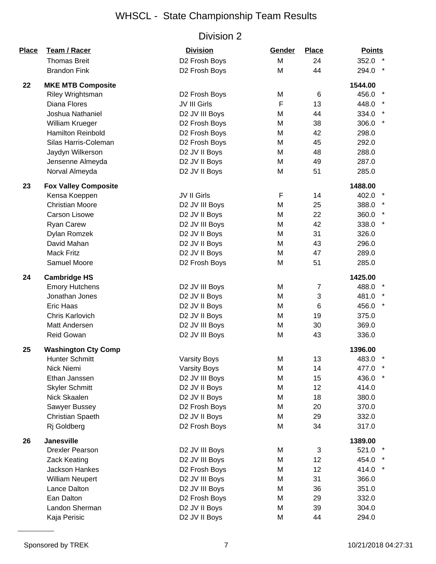| Place | Team / Racer                | <b>Division</b>     | Gender      | <b>Place</b>    | <b>Points</b>    |
|-------|-----------------------------|---------------------|-------------|-----------------|------------------|
|       | <b>Thomas Breit</b>         | D2 Frosh Boys       | M           | 24              | 352.0 *          |
|       | <b>Brandon Fink</b>         | D2 Frosh Boys       | M           | 44              | $\star$<br>294.0 |
| 22    | <b>MKE MTB Composite</b>    |                     |             |                 | 1544.00          |
|       | Riley Wrightsman            | D2 Frosh Boys       | M           | 6               | 456.0 *          |
|       | Diana Flores                | JV III Girls        | $\mathsf F$ | 13              | 448.0 *          |
|       | Joshua Nathaniel            | D2 JV III Boys      | M           | 44              | 334.0            |
|       | William Krueger             | D2 Frosh Boys       | M           | 38              | 306.0            |
|       | <b>Hamilton Reinbold</b>    | D2 Frosh Boys       | M           | 42              | 298.0            |
|       | Silas Harris-Coleman        | D2 Frosh Boys       | M           | 45              | 292.0            |
|       | Jaydyn Wilkerson            | D2 JV II Boys       | M           | 48              | 288.0            |
|       | Jensenne Almeyda            | D2 JV II Boys       | M           | 49              | 287.0            |
|       | Norval Almeyda              | D2 JV II Boys       | M           | 51              | 285.0            |
| 23    | <b>Fox Valley Composite</b> |                     |             |                 | 1488.00          |
|       | Kensa Koeppen               | JV II Girls         | F           | 14              | 402.0            |
|       | <b>Christian Moore</b>      | D2 JV III Boys      | M           | 25              | 388.0 *          |
|       | <b>Carson Lisowe</b>        | D2 JV II Boys       | M           | 22              | 360.0 *          |
|       | <b>Ryan Carew</b>           | D2 JV III Boys      | M           | 42              | $\star$<br>338.0 |
|       | Dylan Romzek                | D2 JV II Boys       | M           | 31              | 326.0            |
|       | David Mahan                 | D2 JV II Boys       | M           | 43              | 296.0            |
|       | <b>Mack Fritz</b>           | D2 JV II Boys       | M           | 47              | 289.0            |
|       | Samuel Moore                | D2 Frosh Boys       | M           | 51              | 285.0            |
| 24    | <b>Cambridge HS</b>         |                     |             |                 | 1425.00          |
|       | <b>Emory Hutchens</b>       | D2 JV III Boys      | M           | $\overline{7}$  | 488.0            |
|       | Jonathan Jones              | D2 JV II Boys       | M           | 3               | 481.0            |
|       | <b>Eric Haas</b>            | D2 JV II Boys       | M           | 6               | 456.0 *          |
|       | Chris Karlovich             | D2 JV II Boys       | M           | 19              | 375.0            |
|       | Matt Andersen               | D2 JV III Boys      | M           | 30              | 369.0            |
|       | Reid Gowan                  | D2 JV III Boys      | M           | 43              | 336.0            |
| 25    | <b>Washington Cty Comp</b>  |                     |             |                 | 1396.00          |
|       | <b>Hunter Schmitt</b>       | <b>Varsity Boys</b> | M           | 13              | 483.0            |
|       | Nick Niemi                  | <b>Varsity Boys</b> | M           | 14              | 477.0            |
|       | Ethan Janssen               | D2 JV III Boys      | M           | 15              | 436.0            |
|       | <b>Skyler Schmitt</b>       | D2 JV II Boys       | M           | 12              | 414.0            |
|       | Nick Skaalen                | D2 JV II Boys       | M           | 18              | 380.0            |
|       | Sawyer Bussey               | D2 Frosh Boys       | M           | 20              | 370.0            |
|       | Christian Spaeth            | D2 JV II Boys       | M           | 29              | 332.0            |
|       | Rj Goldberg                 | D2 Frosh Boys       | M           | 34              | 317.0            |
| 26    | <b>Janesville</b>           |                     |             |                 | 1389.00          |
|       | <b>Drexler Pearson</b>      | D2 JV III Boys      | M           | 3               | 521.0 *          |
|       | <b>Zack Keating</b>         | D2 JV III Boys      | M           | 12 <sub>2</sub> | 454.0 *          |
|       | Jackson Hankes              | D2 Frosh Boys       | M           | 12              | 414.0            |
|       | <b>William Neupert</b>      | D2 JV III Boys      | M           | 31              | 366.0            |
|       | Lance Dalton                | D2 JV III Boys      | M           | 36              | 351.0            |
|       | Ean Dalton                  | D2 Frosh Boys       | M           | 29              | 332.0            |
|       | Landon Sherman              | D2 JV II Boys       | M           | 39              | 304.0            |
|       | Kaja Perisic                | D2 JV II Boys       | M           | 44              | 294.0            |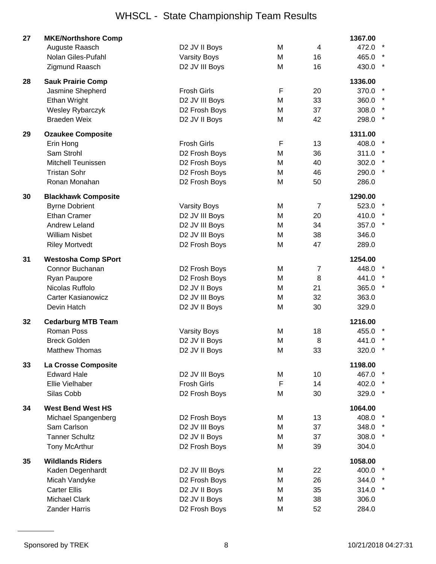| 27 | <b>MKE/Northshore Comp</b> |                     |             |                | 1367.00          |  |
|----|----------------------------|---------------------|-------------|----------------|------------------|--|
|    | Auguste Raasch             | D2 JV II Boys       | M           | 4              | 472.0            |  |
|    | Nolan Giles-Pufahl         | <b>Varsity Boys</b> | M           | 16             | 465.0            |  |
|    | Zigmund Raasch             | D2 JV III Boys      | M           | 16             | $\star$<br>430.0 |  |
| 28 | <b>Sauk Prairie Comp</b>   |                     |             |                | 1336.00          |  |
|    | Jasmine Shepherd           | <b>Frosh Girls</b>  | $\mathsf F$ | 20             | 370.0            |  |
|    | Ethan Wright               | D2 JV III Boys      | M           | 33             | 360.0            |  |
|    | Wesley Rybarczyk           | D2 Frosh Boys       | M           | 37             | 308.0            |  |
|    | <b>Braeden Weix</b>        | D2 JV II Boys       | M           | 42             | 298.0            |  |
| 29 | <b>Ozaukee Composite</b>   |                     |             |                | 1311.00          |  |
|    | Erin Hong                  | <b>Frosh Girls</b>  | F           | 13             | 408.0            |  |
|    | Sam Strohl                 | D2 Frosh Boys       | M           | 36             | 311.0            |  |
|    | <b>Mitchell Teunissen</b>  | D2 Frosh Boys       | M           | 40             | 302.0            |  |
|    | <b>Tristan Sohr</b>        | D2 Frosh Boys       | M           | 46             | 290.0            |  |
|    | Ronan Monahan              | D2 Frosh Boys       | M           | 50             | 286.0            |  |
| 30 | <b>Blackhawk Composite</b> |                     |             |                | 1290.00          |  |
|    | <b>Byrne Dobrient</b>      | <b>Varsity Boys</b> | M           | $\overline{7}$ | 523.0            |  |
|    | <b>Ethan Cramer</b>        | D2 JV III Boys      | M           | 20             | 410.0            |  |
|    | <b>Andrew Leland</b>       | D2 JV III Boys      | M           | 34             | 357.0            |  |
|    | <b>William Nisbet</b>      | D2 JV III Boys      | M           | 38             | 346.0            |  |
|    | <b>Riley Mortvedt</b>      | D2 Frosh Boys       | M           | 47             | 289.0            |  |
| 31 | <b>Westosha Comp SPort</b> |                     |             |                | 1254.00          |  |
|    | Connor Buchanan            | D2 Frosh Boys       | M           | 7              | 448.0            |  |
|    | Ryan Paupore               | D2 Frosh Boys       | M           | 8              | 441.0            |  |
|    | Nicolas Ruffolo            | D2 JV II Boys       | M           | 21             | 365.0            |  |
|    | <b>Carter Kasianowicz</b>  | D2 JV III Boys      | M           | 32             | 363.0            |  |
|    | Devin Hatch                | D2 JV II Boys       | M           | 30             | 329.0            |  |
| 32 | <b>Cedarburg MTB Team</b>  |                     |             |                | 1216.00          |  |
|    | <b>Roman Poss</b>          | <b>Varsity Boys</b> | M           | 18             | 455.0            |  |
|    | <b>Breck Golden</b>        | D2 JV II Boys       | M           | 8              | 441.0            |  |
|    | <b>Matthew Thomas</b>      | D2 JV II Boys       | M           | 33             | 320.0 *          |  |
| 33 | La Crosse Composite        |                     |             |                | 1198.00          |  |
|    | <b>Edward Hale</b>         | D2 JV III Boys      | М           | 10             | 467.0            |  |
|    | Ellie Vielhaber            | <b>Frosh Girls</b>  | F           | 14             | 402.0            |  |
|    | Silas Cobb                 | D2 Frosh Boys       | M           | 30             | 329.0 *          |  |
| 34 | <b>West Bend West HS</b>   |                     |             |                | 1064.00          |  |
|    | Michael Spangenberg        | D2 Frosh Boys       | M           | 13             | 408.0            |  |
|    | Sam Carlson                | D2 JV III Boys      | M           | 37             | 348.0            |  |
|    | <b>Tanner Schultz</b>      | D2 JV II Boys       | M           | 37             | 308.0            |  |
|    | Tony McArthur              | D2 Frosh Boys       | M           | 39             | 304.0            |  |
| 35 | <b>Wildlands Riders</b>    |                     |             |                | 1058.00          |  |
|    | Kaden Degenhardt           | D2 JV III Boys      | M           | 22             | 400.0            |  |
|    | Micah Vandyke              | D2 Frosh Boys       | M           | 26             | 344.0            |  |
|    | <b>Carter Ellis</b>        | D2 JV II Boys       | M           | 35             | 314.0            |  |
|    | <b>Michael Clark</b>       | D2 JV II Boys       | M           | 38             | 306.0            |  |
|    | <b>Zander Harris</b>       | D2 Frosh Boys       | M           | 52             | 284.0            |  |